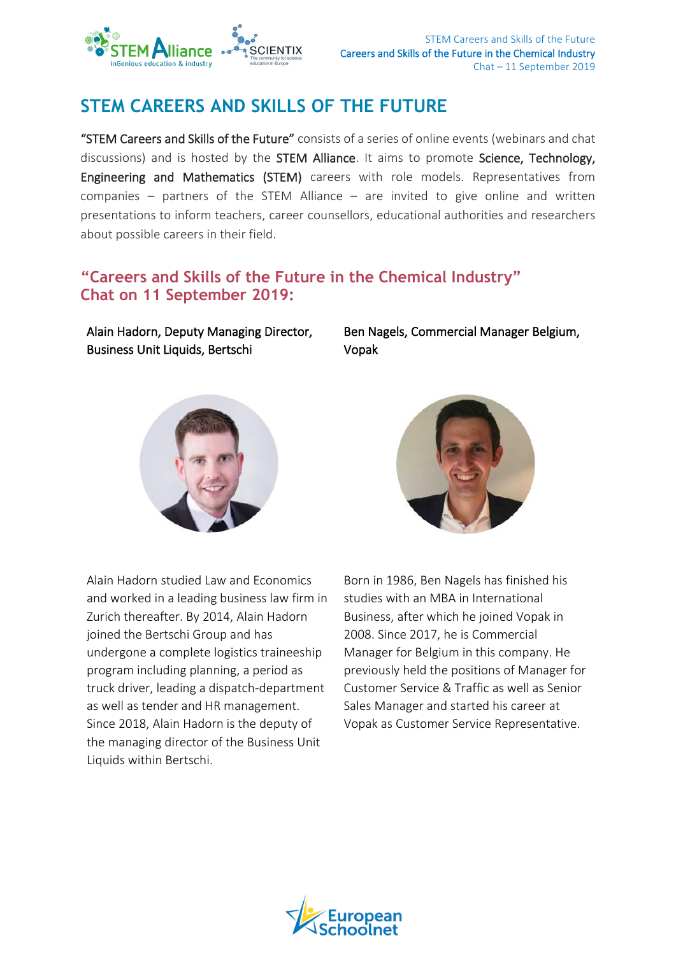

# **STEM CAREERS AND SKILLS OF THE FUTURE**

"STEM Careers and Skills of the Future" consists of a series of online events (webinars and chat discussions) and is hosted by the **STEM Alliance**. It aims to promote **Science, Technology**, Engineering and Mathematics (STEM) careers with role models. Representatives from companies – partners of the STEM Alliance – are invited to give online and written presentations to inform teachers, career counsellors, educational authorities and researchers about possible careers in their field.

## **"Careers and Skills of the Future in the Chemical Industry" Chat on 11 September 2019:**

Alain Hadorn, Deputy Managing Director, Business Unit Liquids, Bertschi

Ben Nagels, Commercial Manager Belgium, Vopak





Alain Hadorn studied Law and Economics and worked in a leading business law firm in Zurich thereafter. By 2014, Alain Hadorn joined the Bertschi Group and has undergone a complete logistics traineeship program including planning, a period as truck driver, leading a dispatch-department as well as tender and HR management. Since 2018, Alain Hadorn is the deputy of the managing director of the Business Unit Liquids within Bertschi.

Born in 1986, Ben Nagels has finished his studies with an MBA in International Business, after which he joined Vopak in 2008. Since 2017, he is Commercial Manager for Belgium in this company. He previously held the positions of Manager for Customer Service & Traffic as well as Senior Sales Manager and started his career at Vopak as Customer Service Representative.

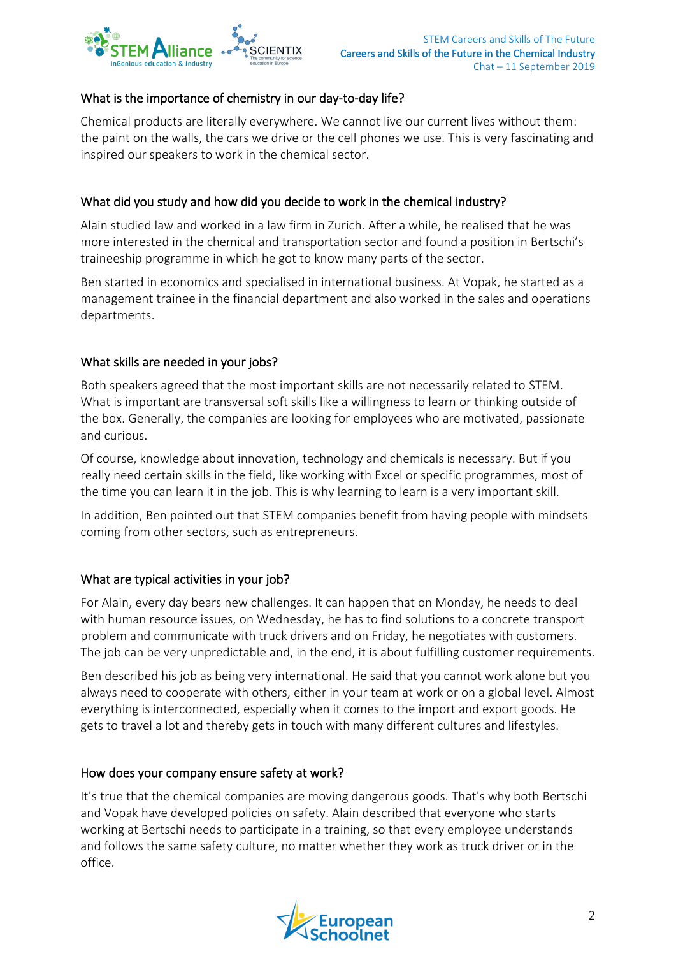

#### What is the importance of chemistry in our day-to-day life?

Chemical products are literally everywhere. We cannot live our current lives without them: the paint on the walls, the cars we drive or the cell phones we use. This is very fascinating and inspired our speakers to work in the chemical sector.

### What did you study and how did you decide to work in the chemical industry?

Alain studied law and worked in a law firm in Zurich. After a while, he realised that he was more interested in the chemical and transportation sector and found a position in Bertschi's traineeship programme in which he got to know many parts of the sector.

Ben started in economics and specialised in international business. At Vopak, he started as a management trainee in the financial department and also worked in the sales and operations departments.

#### What skills are needed in your jobs?

Both speakers agreed that the most important skills are not necessarily related to STEM. What is important are transversal soft skills like a willingness to learn or thinking outside of the box. Generally, the companies are looking for employees who are motivated, passionate and curious.

Of course, knowledge about innovation, technology and chemicals is necessary. But if you really need certain skills in the field, like working with Excel or specific programmes, most of the time you can learn it in the job. This is why learning to learn is a very important skill.

In addition, Ben pointed out that STEM companies benefit from having people with mindsets coming from other sectors, such as entrepreneurs.

#### What are typical activities in your job?

For Alain, every day bears new challenges. It can happen that on Monday, he needs to deal with human resource issues, on Wednesday, he has to find solutions to a concrete transport problem and communicate with truck drivers and on Friday, he negotiates with customers. The job can be very unpredictable and, in the end, it is about fulfilling customer requirements.

Ben described his job as being very international. He said that you cannot work alone but you always need to cooperate with others, either in your team at work or on a global level. Almost everything is interconnected, especially when it comes to the import and export goods. He gets to travel a lot and thereby gets in touch with many different cultures and lifestyles.

#### How does your company ensure safety at work?

It's true that the chemical companies are moving dangerous goods. That's why both Bertschi and Vopak have developed policies on safety. Alain described that everyone who starts working at Bertschi needs to participate in a training, so that every employee understands and follows the same safety culture, no matter whether they work as truck driver or in the office.

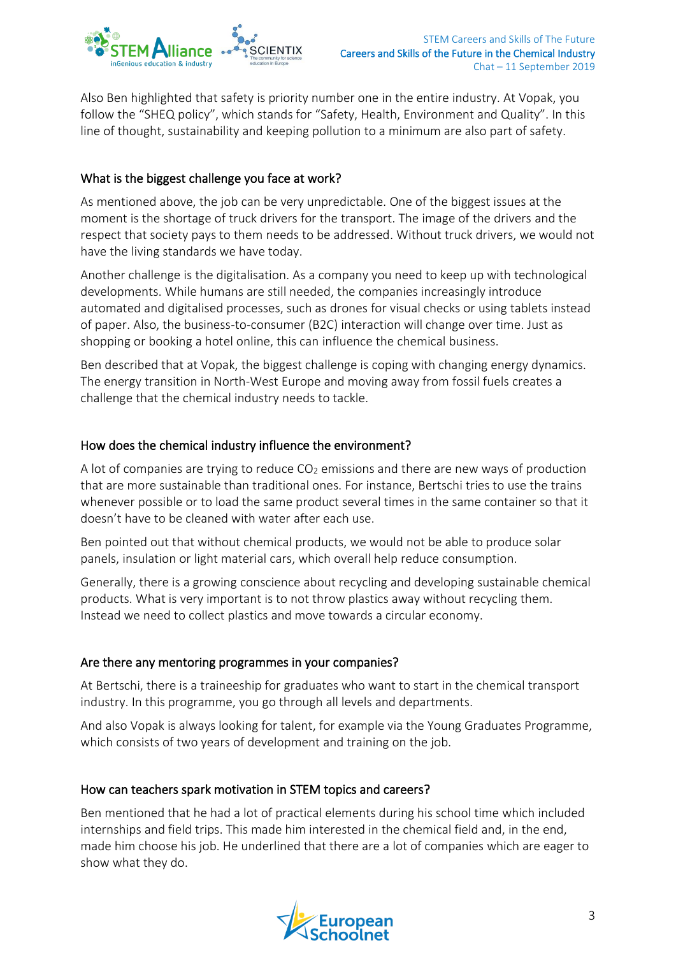

Also Ben highlighted that safety is priority number one in the entire industry. At Vopak, you follow the "SHEQ policy", which stands for "Safety, Health, Environment and Quality". In this line of thought, sustainability and keeping pollution to a minimum are also part of safety.

#### What is the biggest challenge you face at work?

As mentioned above, the job can be very unpredictable. One of the biggest issues at the moment is the shortage of truck drivers for the transport. The image of the drivers and the respect that society pays to them needs to be addressed. Without truck drivers, we would not have the living standards we have today.

Another challenge is the digitalisation. As a company you need to keep up with technological developments. While humans are still needed, the companies increasingly introduce automated and digitalised processes, such as drones for visual checks or using tablets instead of paper. Also, the business-to-consumer (B2C) interaction will change over time. Just as shopping or booking a hotel online, this can influence the chemical business.

Ben described that at Vopak, the biggest challenge is coping with changing energy dynamics. The energy transition in North-West Europe and moving away from fossil fuels creates a challenge that the chemical industry needs to tackle.

#### How does the chemical industry influence the environment?

A lot of companies are trying to reduce  $CO<sub>2</sub>$  emissions and there are new ways of production that are more sustainable than traditional ones. For instance, Bertschi tries to use the trains whenever possible or to load the same product several times in the same container so that it doesn't have to be cleaned with water after each use.

Ben pointed out that without chemical products, we would not be able to produce solar panels, insulation or light material cars, which overall help reduce consumption.

Generally, there is a growing conscience about recycling and developing sustainable chemical products. What is very important is to not throw plastics away without recycling them. Instead we need to collect plastics and move towards a circular economy.

#### Are there any mentoring programmes in your companies?

At Bertschi, there is a traineeship for graduates who want to start in the chemical transport industry. In this programme, you go through all levels and departments.

And also Vopak is always looking for talent, for example via the Young Graduates Programme, which consists of two years of development and training on the job.

#### How can teachers spark motivation in STEM topics and careers?

Ben mentioned that he had a lot of practical elements during his school time which included internships and field trips. This made him interested in the chemical field and, in the end, made him choose his job. He underlined that there are a lot of companies which are eager to show what they do.

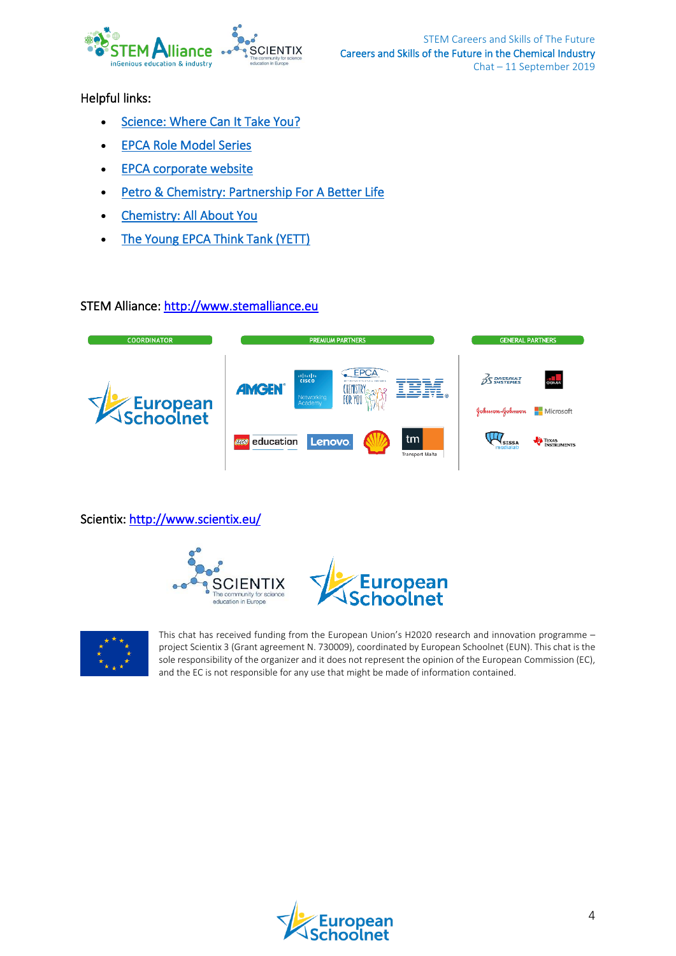

Helpful links:

- [Science: Where Can It Take You?](http://www.stemalliance.eu/practices/detail?resourceId=11990)
- [EPCA Role Model Series](http://www.stemalliance.eu/practices/detail?resourceId=11988)
- [EPCA corporate website](https://epca.eu/)
- [Petro & Chemistry: Partnership For A Better Life](http://www.stemalliance.eu/practices/detail?resourceId=11788)
- [Chemistry: All About You](https://www.youtube.com/watch?v=YDRDpa6rKbc)
- The Young EPCA Think Tank (YETT)

#### STEM Alliance: [http://www.stemalliance.eu](http://www.stemalliance.eu/)

| <b>COORDINATOR</b> | <b>PREMIUM PARTNERS</b>                                                                                                              | <b>GENERAL PARTNERS</b>                                      |
|--------------------|--------------------------------------------------------------------------------------------------------------------------------------|--------------------------------------------------------------|
| Schoolnet          | EPCA<br>abab.<br>cisco<br><b>BELL REPORTED STORES &amp; HOTELST</b><br><b>AMGEN®</b><br>CHEMISTR<br>For You<br>Networking<br>Academy | <b>GSMA</b><br>$25$ DASSAULT<br>Microsoft<br>Johnson-Johnson |
|                    | tm<br>education<br><b>Lenovo</b><br><b>(EGO)</b><br><b>Transport Malta</b>                                                           | TEXAS<br><b>SISSA</b>                                        |

Scientix:<http://www.scientix.eu/>







This chat has received funding from the European Union's H2020 research and innovation programme – project Scientix 3 (Grant agreement N. 730009), coordinated by European Schoolnet (EUN). This chat is the sole responsibility of the organizer and it does not represent the opinion of the European Commission (EC), and the EC is not responsible for any use that might be made of information contained.